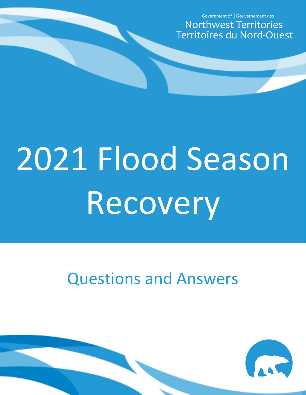Government of | Gouvernement des **Northwest Territories Territoires du Nord-Ouest** 

# 2021 Flood Season Recovery

# Questions and Answers

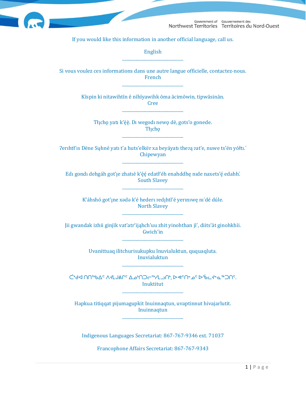

Government of Gouvernement des Northwest Territories Territoires du Nord-Ouest

If you would like this information in another official language, call us.

English \_\_\_\_\_\_\_\_\_\_\_\_\_\_\_\_\_\_\_\_\_\_\_\_\_\_\_\_\_\_

Si vous voulez ces informations dans une autre langue officielle, contactez-nous. French \_\_\_\_\_\_\_\_\_\_\_\_\_\_\_\_\_\_\_\_\_\_\_\_\_\_\_\_\_\_

> Kīspin ki nitawihtīn ē nīhīyawihk ōma ācimōwin, tipwāsinān. Cree \_\_\_\_\_\_\_\_\_\_\_\_\_\_\_\_\_\_\_\_\_\_\_\_\_\_\_\_\_\_

Tłįchę yatı k'èè. Di wegodi newę dè, gots'o gonede. Tłįchę \_\_\_\_\_\_\_\_\_\_\_\_\_\_\_\_\_\_\_\_\_\_\_\_\_\_\_\_\_\_

?erihtł'is Dëne Sųłiné yati t'a huts'elkër xa beyáyati thezą zat'e, nuwe ts'ën yółti. Chipewyan \_\_\_\_\_\_\_\_\_\_\_\_\_\_\_\_\_\_\_\_\_\_\_\_\_\_\_\_\_\_

Edı gondı dehgáh got'ıe zhatıé k'éé edatł'éh enahddhę nide naxets'é edahłi. South Slavey \_\_\_\_\_\_\_\_\_\_\_\_\_\_\_\_\_\_\_\_\_\_\_\_\_\_\_\_\_\_

K'áhshó got'ıne xədə k'é hederi zedıhtl'é yeriniwe ni'dé dúle. North Slavey \_\_\_\_\_\_\_\_\_\_\_\_\_\_\_\_\_\_\_\_\_\_\_\_\_\_\_\_\_\_

Jii gwandak izhii ginjìk vat'atr'ijahch'uu zhit yinohthan jì', diits'àt ginohkhìi. Gwich'in \_\_\_\_\_\_\_\_\_\_\_\_\_\_\_\_\_\_\_\_\_\_\_\_\_\_\_\_\_\_

> Uvanittuaq ilitchurisukupku Inuvialuktun, ququaqluta. Inuvialuktun \_\_\_\_\_\_\_\_\_\_\_\_\_\_\_\_\_\_\_\_\_\_\_\_\_\_\_\_\_\_

ᑖᒃᑯᐊ ᑎᑎᕐᒃᑲᐃᑦ ᐱᔪᒪᒍᕕᒋᑦ ᐃᓄᒃᑎᑐᓕᕐᒃᓯᒪᓗᑎᒃ, ᐅᕙᑦᑎᓐᓄᑦ ᐅᖄᓚᔪᓐᓇᖅᑐᑎᑦ. Inuktitut \_\_\_\_\_\_\_\_\_\_\_\_\_\_\_\_\_\_\_\_\_\_\_\_\_\_\_\_\_\_

Hapkua titiqqat pijumagupkit Inuinnaqtun, uvaptinnut hivajarlutit. Inuinnaqtun \_\_\_\_\_\_\_\_\_\_\_\_\_\_\_\_\_\_\_\_\_\_\_\_\_\_\_\_\_\_

Indigenous Languages Secretariat: 867-767-9346 ext. 71037

Francophone Affairs Secretariat: 867-767-9343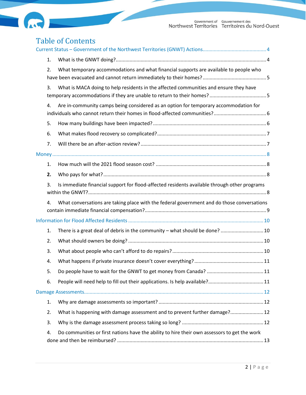



# Table of Contents

|  | 1. |                                                                                              |  |  |
|--|----|----------------------------------------------------------------------------------------------|--|--|
|  | 2. | What temporary accommodations and what financial supports are available to people who        |  |  |
|  | 3. | What is MACA doing to help residents in the affected communities and ensure they have        |  |  |
|  | 4. | Are in-community camps being considered as an option for temporary accommodation for         |  |  |
|  | 5. |                                                                                              |  |  |
|  | 6. |                                                                                              |  |  |
|  | 7. |                                                                                              |  |  |
|  |    |                                                                                              |  |  |
|  | 1. |                                                                                              |  |  |
|  | 2. |                                                                                              |  |  |
|  | 3. | Is immediate financial support for flood-affected residents available through other programs |  |  |
|  | 4. | What conversations are taking place with the federal government and do those conversations   |  |  |
|  |    |                                                                                              |  |  |
|  | 1. | There is a great deal of debris in the community - what should be done?  10                  |  |  |
|  | 2. |                                                                                              |  |  |
|  | 3. |                                                                                              |  |  |
|  | 4. |                                                                                              |  |  |
|  | 5. |                                                                                              |  |  |
|  | 6. |                                                                                              |  |  |
|  |    |                                                                                              |  |  |
|  | 1. |                                                                                              |  |  |
|  | 2. | What is happening with damage assessment and to prevent further damage? 12                   |  |  |
|  | 3. |                                                                                              |  |  |
|  | 4. | Do communities or first nations have the ability to hire their own assessors to get the work |  |  |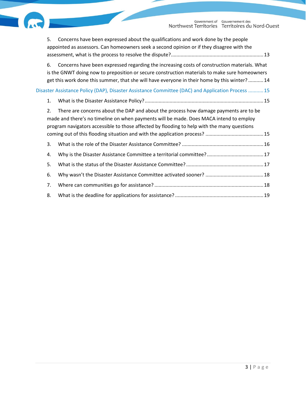

| 5. | Concerns have been expressed about the qualifications and work done by the people<br>appointed as assessors. Can homeowners seek a second opinion or if they disagree with the                                                                                                                |  |
|----|-----------------------------------------------------------------------------------------------------------------------------------------------------------------------------------------------------------------------------------------------------------------------------------------------|--|
| 6. | Concerns have been expressed regarding the increasing costs of construction materials. What<br>is the GNWT doing now to preposition or secure construction materials to make sure homeowners<br>get this work done this summer, that she will have everyone in their home by this winter?  14 |  |
|    | Disaster Assistance Policy (DAP), Disaster Assistance Committee (DAC) and Application Process  15                                                                                                                                                                                             |  |
| 1. |                                                                                                                                                                                                                                                                                               |  |
| 2. | There are concerns about the DAP and about the process how damage payments are to be<br>made and there's no timeline on when payments will be made. Does MACA intend to employ<br>program navigators accessible to those affected by flooding to help with the many questions                 |  |
| 3. |                                                                                                                                                                                                                                                                                               |  |
| 4. |                                                                                                                                                                                                                                                                                               |  |
| 5. |                                                                                                                                                                                                                                                                                               |  |
| 6. |                                                                                                                                                                                                                                                                                               |  |
| 7. |                                                                                                                                                                                                                                                                                               |  |
| 8. |                                                                                                                                                                                                                                                                                               |  |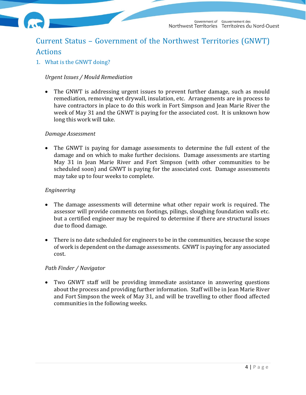

# <span id="page-4-0"></span>Current Status – Government of the Northwest Territories (GNWT) Actions

<span id="page-4-1"></span>1. What is the GNWT doing?

#### *Urgent Issues / Mould Remediation*

• The GNWT is addressing urgent issues to prevent further damage, such as mould remediation, removing wet drywall, insulation, etc. Arrangements are in process to have contractors in place to do this work in Fort Simpson and Jean Marie River the week of May 31 and the GNWT is paying for the associated cost. It is unknown how long this work will take.

#### *Damage Assessment*

• The GNWT is paying for damage assessments to determine the full extent of the damage and on which to make further decisions. Damage assessments are starting May 31 in Jean Marie River and Fort Simpson (with other communities to be scheduled soon) and GNWT is paying for the associated cost. Damage assessments may take up to four weeks to complete.

#### *Engineering*

- The damage assessments will determine what other repair work is required. The assessor will provide comments on footings, pilings, sloughing foundation walls etc. but a certified engineer may be required to determine if there are structural issues due to flood damage.
- There is no date scheduled for engineers to be in the communities, because the scope of work is dependent on the damage assessments. GNWT is paying for any associated cost.

#### *Path Finder / Navigator*

• Two GNWT staff will be providing immediate assistance in answering questions about the process and providing further information. Staff will be in Jean Marie River and Fort Simpson the week of May 31, and will be travelling to other flood affected communities in the following weeks.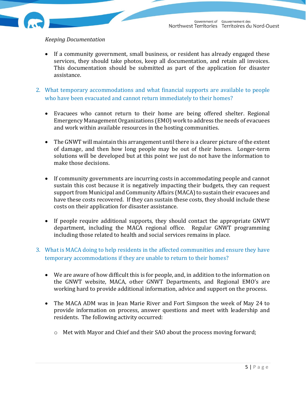#### *Keeping Documentation*

- If a community government, small business, or resident has already engaged these services, they should take photos, keep all documentation, and retain all invoices. This documentation should be submitted as part of the application for disaster assistance.
- <span id="page-5-0"></span>2. What temporary accommodations and what financial supports are available to people who have been evacuated and cannot return immediately to their homes?
	- Evacuees who cannot return to their home are being offered shelter. Regional Emergency Management Organizations (EMO) work to address the needs of evacuees and work within available resources in the hosting communities.
	- The GNWT will maintain this arrangement until there is a clearer picture of the extent of damage, and then how long people may be out of their homes. Longer-term solutions will be developed but at this point we just do not have the information to make those decisions.
	- If community governments are incurring costs in accommodating people and cannot sustain this cost because it is negatively impacting their budgets, they can request support from Municipal and Community Affairs (MACA) to sustain their evacuees and have these costs recovered. If they can sustain these costs, they should include these costs on their application for disaster assistance.
	- If people require additional supports, they should contact the appropriate GNWT department, including the MACA regional office. Regular GNWT programming including those related to health and social services remains in place.
- <span id="page-5-1"></span>3. What is MACA doing to help residents in the affected communities and ensure they have temporary accommodations if they are unable to return to their homes?
	- We are aware of how difficult this is for people, and, in addition to the information on the GNWT website, MACA, other GNWT Departments, and Regional EMO's are working hard to provide additional information, advice and support on the process.
	- The MACA ADM was in Jean Marie River and Fort Simpson the week of May 24 to provide information on process, answer questions and meet with leadership and residents. The following activity occurred:
		- o Met with Mayor and Chief and their SAO about the process moving forward;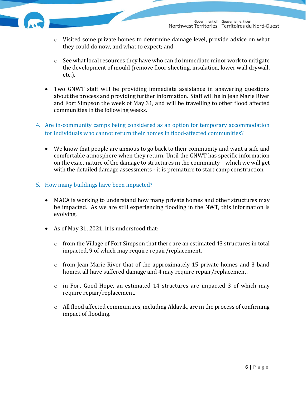- o Visited some private homes to determine damage level, provide advice on what they could do now, and what to expect; and
- $\circ$  See what local resources they have who can do immediate minor work to mitigate the development of mould (remove floor sheeting, insulation, lower wall drywall, etc.).
- Two GNWT staff will be providing immediate assistance in answering questions about the process and providing further information. Staff will be in Jean Marie River and Fort Simpson the week of May 31, and will be travelling to other flood affected communities in the following weeks.
- <span id="page-6-0"></span>4. Are in-community camps being considered as an option for temporary accommodation for individuals who cannot return their homes in flood-affected communities?
	- We know that people are anxious to go back to their community and want a safe and comfortable atmosphere when they return. Until the GNWT has specific information on the exact nature of the damage to structures in the community – which we will get with the detailed damage assessments - it is premature to start camp construction.
- <span id="page-6-1"></span>5. How many buildings have been impacted?
	- MACA is working to understand how many private homes and other structures may be impacted. As we are still experiencing flooding in the NWT, this information is evolving.
	- As of May 31, 2021, it is understood that:
		- $\circ$  from the Village of Fort Simpson that there are an estimated 43 structures in total impacted, 9 of which may require repair/replacement.
		- o from Jean Marie River that of the approximately 15 private homes and 3 band homes, all have suffered damage and 4 may require repair/replacement.
		- o in Fort Good Hope, an estimated 14 structures are impacted 3 of which may require repair/replacement.
		- $\circ$  All flood affected communities, including Aklavik, are in the process of confirming impact of flooding.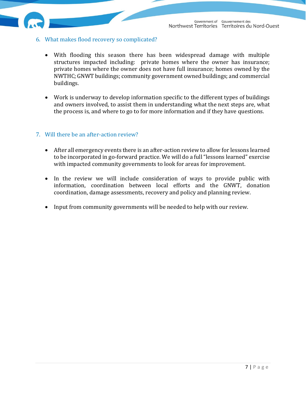- <span id="page-7-0"></span>6. What makes flood recovery so complicated?
	- With flooding this season there has been widespread damage with multiple structures impacted including: private homes where the owner has insurance; private homes where the owner does not have full insurance; homes owned by the NWTHC; GNWT buildings; community government owned buildings; and commercial buildings.
	- Work is underway to develop information specific to the different types of buildings and owners involved, to assist them in understanding what the next steps are, what the process is, and where to go to for more information and if they have questions.

#### <span id="page-7-1"></span>7. Will there be an after-action review?

- After all emergency events there is an after-action review to allow for lessons learned to be incorporated in go-forward practice. We will do a full "lessons learned" exercise with impacted community governments to look for areas for improvement.
- In the review we will include consideration of ways to provide public with information, coordination between local efforts and the GNWT, donation coordination, damage assessments, recovery and policy and planning review.
- <span id="page-7-2"></span>• Input from community governments will be needed to help with our review.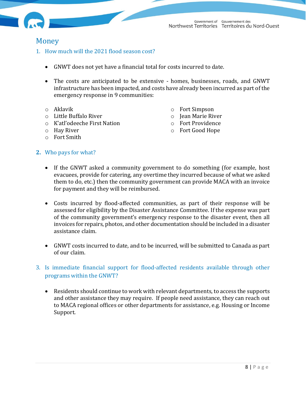

### Money

- <span id="page-8-0"></span>1. How much will the 2021 flood season cost?
	- GNWT does not yet have a financial total for costs incurred to date.
	- The costs are anticipated to be extensive homes, businesses, roads, and GNWT infrastructure has been impacted, and costs have already been incurred as part of the emergency response in 9 communities:
	- o Aklavik
	- o Little Buffalo River
	- o K'atl'odeeche First Nation
	- o Hay River
	- o Fort Smith
- o Fort Simpson
- o Jean Marie River
- o Fort Providence
- o Fort Good Hope

- <span id="page-8-1"></span>**2.** Who pays for what?
	- If the GNWT asked a community government to do something (for example, host evacuees, provide for catering, any overtime they incurred because of what we asked them to do, etc.) then the community government can provide MACA with an invoice for payment and they will be reimbursed.
	- Costs incurred by flood-affected communities, as part of their response will be assessed for eligibility by the Disaster Assistance Committee. If the expense was part of the community government's emergency response to the disaster event, then all invoices for repairs, photos, and other documentation should be included in a disaster assistance claim.
	- GNWT costs incurred to date, and to be incurred, will be submitted to Canada as part of our claim.
- <span id="page-8-2"></span>3. Is immediate financial support for flood-affected residents available through other programs within the GNWT?
	- Residents should continue to work with relevant departments, to access the supports and other assistance they may require. If people need assistance, they can reach out to MACA regional offices or other departments for assistance, e.g. Housing or Income Support.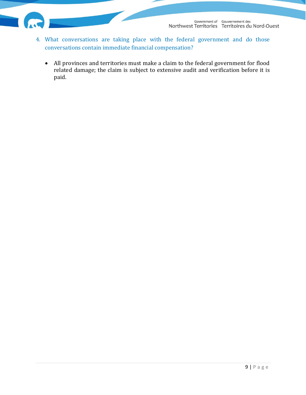- <span id="page-9-1"></span><span id="page-9-0"></span>4. What conversations are taking place with the federal government and do those conversations contain immediate financial compensation?
	- All provinces and territories must make a claim to the federal government for flood related damage; the claim is subject to extensive audit and verification before it is paid.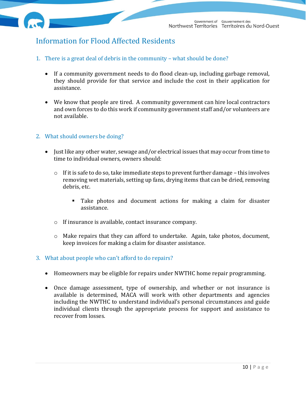

# Information for Flood Affected Residents

- <span id="page-10-0"></span>1. There is a great deal of debris in the community – what should be done?
	- If a community government needs to do flood clean-up, including garbage removal, they should provide for that service and include the cost in their application for assistance.
	- We know that people are tired. A community government can hire local contractors and own forces to do this work if community government staff and/or volunteers are not available.
- <span id="page-10-1"></span>2. What should owners be doing?
	- Just like any other water, sewage and/or electrical issues that may occur from time to time to individual owners, owners should:
		- o If it is safe to do so, take immediate steps to prevent further damage this involves removing wet materials, setting up fans, drying items that can be dried, removing debris, etc.
			- Take photos and document actions for making a claim for disaster assistance.
		- o If insurance is available, contact insurance company.
		- o Make repairs that they can afford to undertake. Again, take photos, document, keep invoices for making a claim for disaster assistance.
- <span id="page-10-2"></span>3. What about people who can't afford to do repairs?
	- Homeowners may be eligible for repairs under NWTHC home repair programming.
	- Once damage assessment, type of ownership, and whether or not insurance is available is determined, MACA will work with other departments and agencies including the NWTHC to understand individual's personal circumstances and guide individual clients through the appropriate process for support and assistance to recover from losses.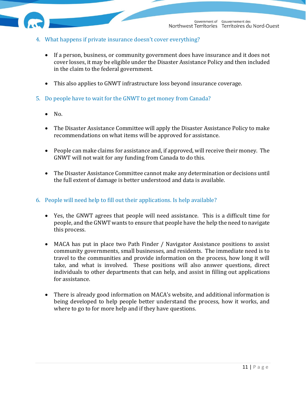

- <span id="page-11-0"></span>4. What happens if private insurance doesn't cover everything?
	- If a person, business, or community government does have insurance and it does not cover losses, it may be eligible under the Disaster Assistance Policy and then included in the claim to the federal government.
	- This also applies to GNWT infrastructure loss beyond insurance coverage.
- <span id="page-11-1"></span>5. Do people have to wait for the GNWT to get money from Canada?
	- $\bullet$  No.
	- The Disaster Assistance Committee will apply the Disaster Assistance Policy to make recommendations on what items will be approved for assistance.
	- People can make claims for assistance and, if approved, will receive their money. The GNWT will not wait for any funding from Canada to do this.
	- The Disaster Assistance Committee cannot make any determination or decisions until the full extent of damage is better understood and data is available.

#### <span id="page-11-2"></span>6. People will need help to fill out their applications. Is help available?

- Yes, the GNWT agrees that people will need assistance. This is a difficult time for people, and the GNWT wants to ensure that people have the help the need to navigate this process.
- MACA has put in place two Path Finder / Navigator Assistance positions to assist community governments, small businesses, and residents. The immediate need is to travel to the communities and provide information on the process, how long it will take, and what is involved. These positions will also answer questions, direct individuals to other departments that can help, and assist in filling out applications for assistance.
- There is already good information on MACA's website, and additional information is being developed to help people better understand the process, how it works, and where to go to for more help and if they have questions.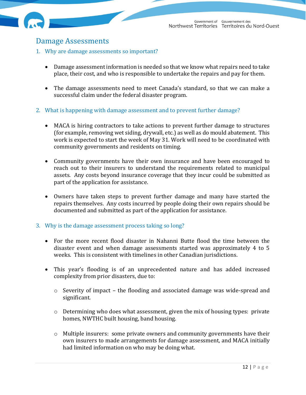

## <span id="page-12-0"></span>Damage Assessments

- <span id="page-12-1"></span>1. Why are damage assessments so important?
	- Damage assessment information is needed so that we know what repairs need to take place, their cost, and who is responsible to undertake the repairs and pay for them.
	- The damage assessments need to meet Canada's standard, so that we can make a successful claim under the federal disaster program.
- <span id="page-12-2"></span>2. What is happening with damage assessment and to prevent further damage?
	- MACA is hiring contractors to take actions to prevent further damage to structures (for example, removing wet siding, drywall, etc.) as well as do mould abatement. This work is expected to start the week of May 31. Work will need to be coordinated with community governments and residents on timing.
	- Community governments have their own insurance and have been encouraged to reach out to their insurers to understand the requirements related to municipal assets. Any costs beyond insurance coverage that they incur could be submitted as part of the application for assistance.
	- Owners have taken steps to prevent further damage and many have started the repairs themselves. Any costs incurred by people doing their own repairs should be documented and submitted as part of the application for assistance.
- <span id="page-12-3"></span>3. Why is the damage assessment process taking so long?
	- For the more recent flood disaster in Nahanni Butte flood the time between the disaster event and when damage assessments started was approximately 4 to 5 weeks. This is consistent with timelines in other Canadian jurisdictions.
	- This year's flooding is of an unprecedented nature and has added increased complexity from prior disasters, due to:
		- o Severity of impact the flooding and associated damage was wide-spread and significant.
		- o Determining who does what assessment, given the mix of housing types: private homes, NWTHC built housing, band housing.
		- o Multiple insurers: some private owners and community governments have their own insurers to made arrangements for damage assessment, and MACA initially had limited information on who may be doing what.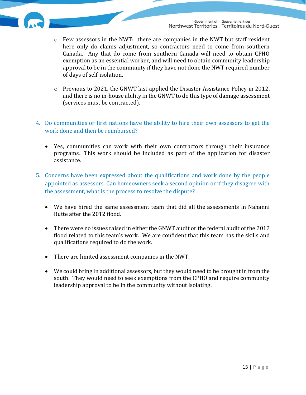- $\circ$  Few assessors in the NWT: there are companies in the NWT but staff resident here only do claims adjustment, so contractors need to come from southern Canada. Any that do come from southern Canada will need to obtain CPHO exemption as an essential worker, and will need to obtain community leadership approval to be in the community if they have not done the NWT required number of days of self-isolation.
- o Previous to 2021, the GNWT last applied the Disaster Assistance Policy in 2012, and there is no in-house ability in the GNWT to do this type of damage assessment (services must be contracted).
- <span id="page-13-0"></span>4. Do communities or first nations have the ability to hire their own assessors to get the work done and then be reimbursed?
	- Yes, communities can work with their own contractors through their insurance programs. This work should be included as part of the application for disaster assistance.
- <span id="page-13-1"></span>5. Concerns have been expressed about the qualifications and work done by the people appointed as assessors. Can homeowners seek a second opinion or if they disagree with the assessment, what is the process to resolve the dispute?
	- We have hired the same assessment team that did all the assessments in Nahanni Butte after the 2012 flood.
	- There were no issues raised in either the GNWT audit or the federal audit of the 2012 flood related to this team's work. We are confident that this team has the skills and qualifications required to do the work.
	- There are limited assessment companies in the NWT.
	- We could bring in additional assessors, but they would need to be brought in from the south. They would need to seek exemptions from the CPHO and require community leadership approval to be in the community without isolating.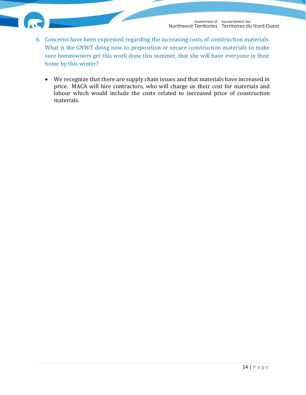- <span id="page-14-1"></span><span id="page-14-0"></span>6. Concerns have been expressed regarding the increasing costs of construction materials. What is the GNWT doing now to preposition or secure construction materials to make sure homeowners get this work done this summer, that she will have everyone in their home by this winter?
	- We recognize that there are supply chain issues and that materials have increased in price. MACA will hire contractors, who will charge us their cost for materials and labour which would include the costs related to increased price of construction materials.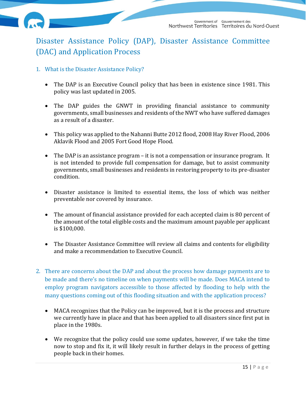

# Disaster Assistance Policy (DAP), Disaster Assistance Committee (DAC) and Application Process

- <span id="page-15-0"></span>1. What is the Disaster Assistance Policy?
	- The DAP is an Executive Council policy that has been in existence since 1981. This policy was last updated in 2005.
	- The DAP guides the GNWT in providing financial assistance to community governments, small businesses and residents of the NWT who have suffered damages as a result of a disaster.
	- This policy was applied to the Nahanni Butte 2012 flood, 2008 Hay River Flood, 2006 Aklavik Flood and 2005 Fort Good Hope Flood.
	- The DAP is an assistance program it is not a compensation or insurance program. It is not intended to provide full compensation for damage, but to assist community governments, small businesses and residents in restoring property to its pre-disaster condition.
	- Disaster assistance is limited to essential items, the loss of which was neither preventable nor covered by insurance.
	- The amount of financial assistance provided for each accepted claim is 80 percent of the amount of the total eligible costs and the maximum amount payable per applicant is \$100,000.
	- The Disaster Assistance Committee will review all claims and contents for eligibility and make a recommendation to Executive Council.
- <span id="page-15-1"></span>2. There are concerns about the DAP and about the process how damage payments are to be made and there's no timeline on when payments will be made. Does MACA intend to employ program navigators accessible to those affected by flooding to help with the many questions coming out of this flooding situation and with the application process?
	- MACA recognizes that the Policy can be improved, but it is the process and structure we currently have in place and that has been applied to all disasters since first put in place in the 1980s.
	- We recognize that the policy could use some updates, however, if we take the time now to stop and fix it, it will likely result in further delays in the process of getting people back in their homes.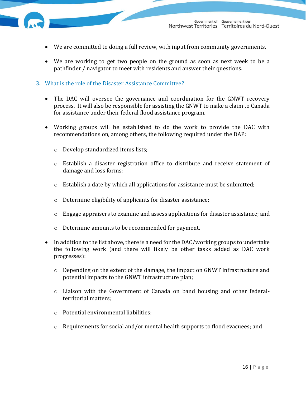- We are committed to doing a full review, with input from community governments.
- We are working to get two people on the ground as soon as next week to be a pathfinder / navigator to meet with residents and answer their questions.
- <span id="page-16-0"></span>3. What is the role of the Disaster Assistance Committee?
	- The DAC will oversee the governance and coordination for the GNWT recovery process. It will also be responsible for assisting the GNWT to make a claim to Canada for assistance under their federal flood assistance program.
	- Working groups will be established to do the work to provide the DAC with recommendations on, among others, the following required under the DAP:
		- o Develop standardized items lists;
		- o Establish a disaster registration office to distribute and receive statement of damage and loss forms;
		- o Establish a date by which all applications for assistance must be submitted;
		- o Determine eligibility of applicants for disaster assistance;
		- o Engage appraisers to examine and assess applications for disaster assistance; and
		- o Determine amounts to be recommended for payment.
	- In addition to the list above, there is a need for the DAC/working groups to undertake the following work (and there will likely be other tasks added as DAC work progresses):
		- o Depending on the extent of the damage, the impact on GNWT infrastructure and potential impacts to the GNWT infrastructure plan;
		- o Liaison with the Government of Canada on band housing and other federalterritorial matters;
		- o Potential environmental liabilities;
		- o Requirements for social and/or mental health supports to flood evacuees; and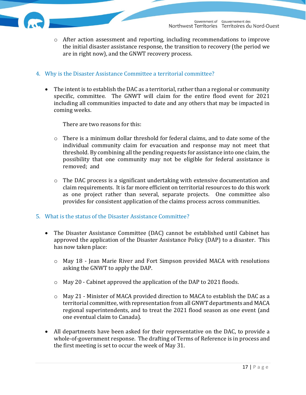

#### <span id="page-17-0"></span>4. Why is the Disaster Assistance Committee a territorial committee?

• The intent is to establish the DAC as a territorial, rather than a regional or community specific, committee. The GNWT will claim for the entire flood event for 2021 including all communities impacted to date and any others that may be impacted in coming weeks.

There are two reasons for this:

- $\circ$  There is a minimum dollar threshold for federal claims, and to date some of the individual community claim for evacuation and response may not meet that threshold. By combining all the pending requests for assistance into one claim, the possibility that one community may not be eligible for federal assistance is removed; and
- $\circ$  The DAC process is a significant undertaking with extensive documentation and claim requirements. It is far more efficient on territorial resources to do this work as one project rather than several, separate projects. One committee also provides for consistent application of the claims process across communities.

#### <span id="page-17-1"></span>5. What is the status of the Disaster Assistance Committee?

- The Disaster Assistance Committee (DAC) cannot be established until Cabinet has approved the application of the Disaster Assistance Policy (DAP) to a disaster. This has now taken place:
	- o May 18 Jean Marie River and Fort Simpson provided MACA with resolutions asking the GNWT to apply the DAP.
	- o May 20 Cabinet approved the application of the DAP to 2021 floods.
	- o May 21 Minister of MACA provided direction to MACA to establish the DAC as a territorial committee, with representation from all GNWT departments and MACA regional superintendents, and to treat the 2021 flood season as one event (and one eventual claim to Canada).
- All departments have been asked for their representative on the DAC, to provide a whole-of-government response. The drafting of Terms of Reference is in process and the first meeting is set to occur the week of May 31.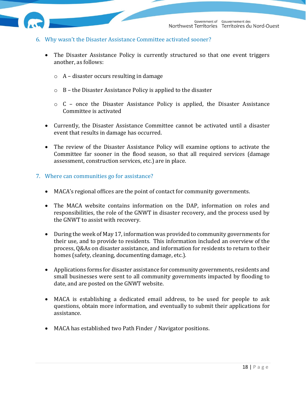

- <span id="page-18-0"></span>6. Why wasn't the Disaster Assistance Committee activated sooner?
	- The Disaster Assistance Policy is currently structured so that one event triggers another, as follows:
		- o A disaster occurs resulting in damage
		- o B the Disaster Assistance Policy is applied to the disaster
		- o C once the Disaster Assistance Policy is applied, the Disaster Assistance Committee is activated
	- Currently, the Disaster Assistance Committee cannot be activated until a disaster event that results in damage has occurred.
	- The review of the Disaster Assistance Policy will examine options to activate the Committee far sooner in the flood season, so that all required services (damage assessment, construction services, etc.) are in place.
- <span id="page-18-1"></span>7. Where can communities go for assistance?
	- MACA's regional offices are the point of contact for community governments.
	- The MACA website contains information on the DAP, information on roles and responsibilities, the role of the GNWT in disaster recovery, and the process used by the GNWT to assist with recovery.
	- During the week of May 17, information was provided to community governments for their use, and to provide to residents. This information included an overview of the process, Q&As on disaster assistance, and information for residents to return to their homes (safety, cleaning, documenting damage, etc.).
	- Applications forms for disaster assistance for community governments, residents and small businesses were sent to all community governments impacted by flooding to date, and are posted on the GNWT website.
	- MACA is establishing a dedicated email address, to be used for people to ask questions, obtain more information, and eventually to submit their applications for assistance.
	- MACA has established two Path Finder / Navigator positions.